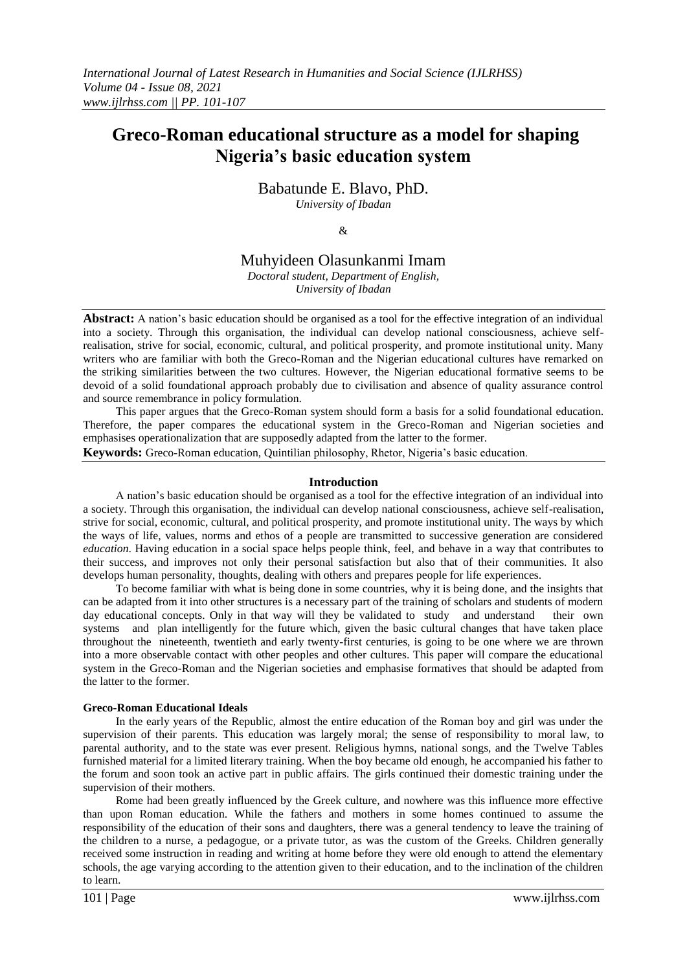# **Greco-Roman educational structure as a model for shaping Nigeria's basic education system**

Babatunde E. Blavo, PhD. *University of Ibadan*

 $\mathcal{R}$ 

## Muhyideen Olasunkanmi Imam

*Doctoral student, Department of English, University of Ibadan*

**Abstract:** A nation's basic education should be organised as a tool for the effective integration of an individual into a society. Through this organisation, the individual can develop national consciousness, achieve selfrealisation, strive for social, economic, cultural, and political prosperity, and promote institutional unity. Many writers who are familiar with both the Greco-Roman and the Nigerian educational cultures have remarked on the striking similarities between the two cultures. However, the Nigerian educational formative seems to be devoid of a solid foundational approach probably due to civilisation and absence of quality assurance control and source remembrance in policy formulation.

This paper argues that the Greco-Roman system should form a basis for a solid foundational education. Therefore, the paper compares the educational system in the Greco-Roman and Nigerian societies and emphasises operationalization that are supposedly adapted from the latter to the former.

**Keywords:** Greco-Roman education, Quintilian philosophy, Rhetor, Nigeria's basic education.

#### **Introduction**

A nation's basic education should be organised as a tool for the effective integration of an individual into a society. Through this organisation, the individual can develop national consciousness, achieve self-realisation, strive for social, economic, cultural, and political prosperity, and promote institutional unity. The ways by which the ways of life, values, norms and ethos of a people are transmitted to successive generation are considered *education*. Having education in a social space helps people think, feel, and behave in a way that contributes to their success, and improves not only their personal satisfaction but also that of their communities. It also develops human personality, thoughts, dealing with others and prepares people for life experiences.

To become familiar with what is being done in some countries, why it is being done, and the insights that can be adapted from it into other structures is a necessary part of the training of scholars and students of modern day educational concepts. Only in that way will they be validated to study and understand their own systems and plan intelligently for the future which, given the basic cultural changes that have taken place throughout the nineteenth, twentieth and early twenty-first centuries, is going to be one where we are thrown into a more observable contact with other peoples and other cultures. This paper will compare the educational system in the Greco-Roman and the Nigerian societies and emphasise formatives that should be adapted from the latter to the former.

#### **Greco-Roman Educational Ideals**

In the early years of the Republic, almost the entire education of the Roman boy and girl was under the supervision of their parents. This education was largely moral; the sense of responsibility to moral law, to parental authority, and to the state was ever present. Religious hymns, national songs, and the Twelve Tables furnished material for a limited literary training. When the boy became old enough, he accompanied his father to the forum and soon took an active part in public affairs. The girls continued their domestic training under the supervision of their mothers.

Rome had been greatly influenced by the Greek culture, and nowhere was this influence more effective than upon Roman education. While the fathers and mothers in some homes continued to assume the responsibility of the education of their sons and daughters, there was a general tendency to leave the training of the children to a nurse, a pedagogue, or a private tutor, as was the custom of the Greeks. Children generally received some instruction in reading and writing at home before they were old enough to attend the elementary schools, the age varying according to the attention given to their education, and to the inclination of the children to learn.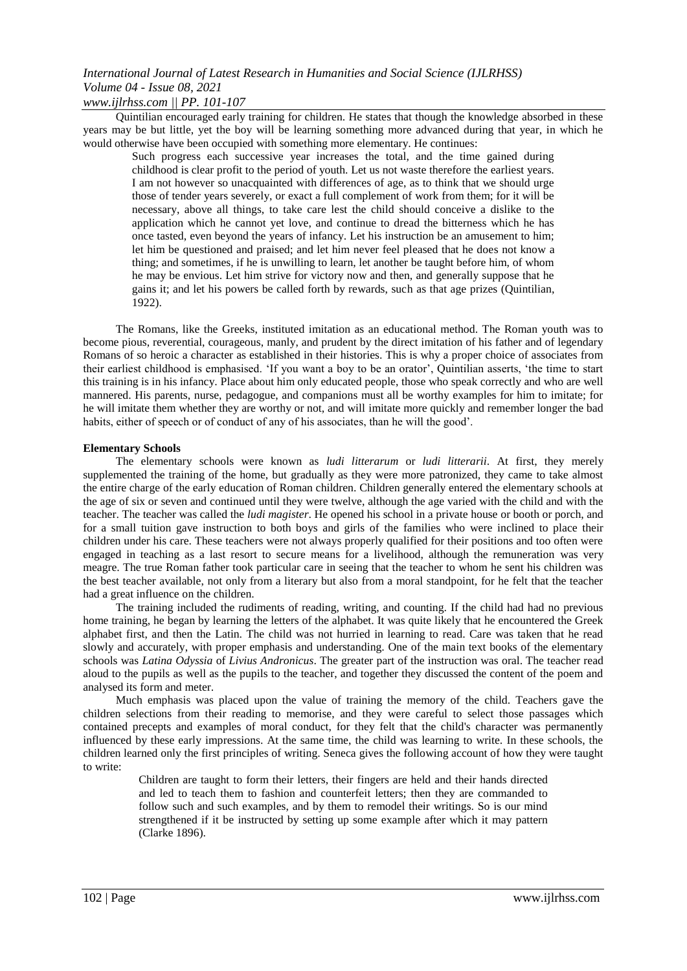*www.ijlrhss.com || PP. 101-107*

Quintilian encouraged early training for children. He states that though the knowledge absorbed in these years may be but little, yet the boy will be learning something more advanced during that year, in which he would otherwise have been occupied with something more elementary. He continues:

Such progress each successive year increases the total, and the time gained during childhood is clear profit to the period of youth. Let us not waste therefore the earliest years. I am not however so unacquainted with differences of age, as to think that we should urge those of tender years severely, or exact a full complement of work from them; for it will be necessary, above all things, to take care lest the child should conceive a dislike to the application which he cannot yet love, and continue to dread the bitterness which he has once tasted, even beyond the years of infancy. Let his instruction be an amusement to him; let him be questioned and praised; and let him never feel pleased that he does not know a thing; and sometimes, if he is unwilling to learn, let another be taught before him, of whom he may be envious. Let him strive for victory now and then, and generally suppose that he gains it; and let his powers be called forth by rewards, such as that age prizes (Quintilian, 1922).

The Romans, like the Greeks, instituted imitation as an educational method. The Roman youth was to become pious, reverential, courageous, manly, and prudent by the direct imitation of his father and of legendary Romans of so heroic a character as established in their histories. This is why a proper choice of associates from their earliest childhood is emphasised. 'If you want a boy to be an orator', Quintilian asserts, 'the time to start this training is in his infancy. Place about him only educated people, those who speak correctly and who are well mannered. His parents, nurse, pedagogue, and companions must all be worthy examples for him to imitate; for he will imitate them whether they are worthy or not, and will imitate more quickly and remember longer the bad habits, either of speech or of conduct of any of his associates, than he will the good'.

### **Elementary Schools**

The elementary schools were known as *ludi litterarum* or *ludi litterarii*. At first, they merely supplemented the training of the home, but gradually as they were more patronized, they came to take almost the entire charge of the early education of Roman children. Children generally entered the elementary schools at the age of six or seven and continued until they were twelve, although the age varied with the child and with the teacher. The teacher was called the *ludi magister*. He opened his school in a private house or booth or porch, and for a small tuition gave instruction to both boys and girls of the families who were inclined to place their children under his care. These teachers were not always properly qualified for their positions and too often were engaged in teaching as a last resort to secure means for a livelihood, although the remuneration was very meagre. The true Roman father took particular care in seeing that the teacher to whom he sent his children was the best teacher available, not only from a literary but also from a moral standpoint, for he felt that the teacher had a great influence on the children.

The training included the rudiments of reading, writing, and counting. If the child had had no previous home training, he began by learning the letters of the alphabet. It was quite likely that he encountered the Greek alphabet first, and then the Latin. The child was not hurried in learning to read. Care was taken that he read slowly and accurately, with proper emphasis and understanding. One of the main text books of the elementary schools was *Latina Odyssia* of *Livius Andronicus*. The greater part of the instruction was oral. The teacher read aloud to the pupils as well as the pupils to the teacher, and together they discussed the content of the poem and analysed its form and meter.

Much emphasis was placed upon the value of training the memory of the child. Teachers gave the children selections from their reading to memorise, and they were careful to select those passages which contained precepts and examples of moral conduct, for they felt that the child's character was permanently influenced by these early impressions. At the same time, the child was learning to write. In these schools, the children learned only the first principles of writing. Seneca gives the following account of how they were taught to write:

Children are taught to form their letters, their fingers are held and their hands directed and led to teach them to fashion and counterfeit letters; then they are commanded to follow such and such examples, and by them to remodel their writings. So is our mind strengthened if it be instructed by setting up some example after which it may pattern (Clarke 1896).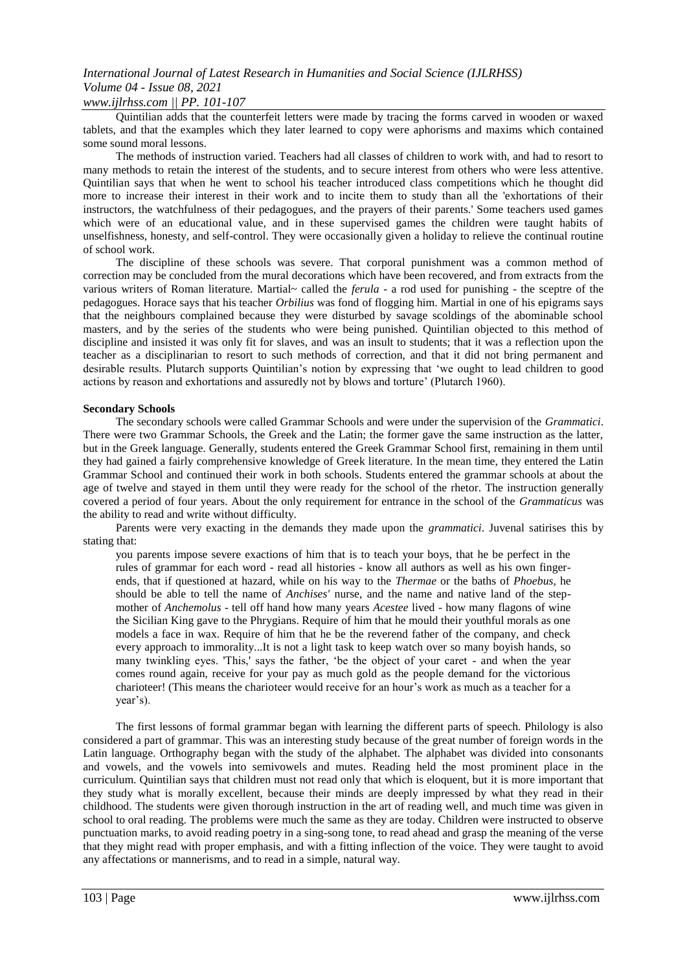### *www.ijlrhss.com || PP. 101-107*

Quintilian adds that the counterfeit letters were made by tracing the forms carved in wooden or waxed tablets, and that the examples which they later learned to copy were aphorisms and maxims which contained some sound moral lessons.

The methods of instruction varied. Teachers had all classes of children to work with, and had to resort to many methods to retain the interest of the students, and to secure interest from others who were less attentive. Quintilian says that when he went to school his teacher introduced class competitions which he thought did more to increase their interest in their work and to incite them to study than all the 'exhortations of their instructors, the watchfulness of their pedagogues, and the prayers of their parents.' Some teachers used games which were of an educational value, and in these supervised games the children were taught habits of unselfishness, honesty, and self-control. They were occasionally given a holiday to relieve the continual routine of school work.

The discipline of these schools was severe. That corporal punishment was a common method of correction may be concluded from the mural decorations which have been recovered, and from extracts from the various writers of Roman literature. Martial~ called the *ferula* - a rod used for punishing - the sceptre of the pedagogues. Horace says that his teacher *Orbilius* was fond of flogging him. Martial in one of his epigrams says that the neighbours complained because they were disturbed by savage scoldings of the abominable school masters, and by the series of the students who were being punished. Quintilian objected to this method of discipline and insisted it was only fit for slaves, and was an insult to students; that it was a reflection upon the teacher as a disciplinarian to resort to such methods of correction, and that it did not bring permanent and desirable results. Plutarch supports Quintilian's notion by expressing that 'we ought to lead children to good actions by reason and exhortations and assuredly not by blows and torture' (Plutarch 1960).

### **Secondary Schools**

The secondary schools were called Grammar Schools and were under the supervision of the *Grammatici*. There were two Grammar Schools, the Greek and the Latin; the former gave the same instruction as the latter, but in the Greek language. Generally, students entered the Greek Grammar School first, remaining in them until they had gained a fairly comprehensive knowledge of Greek literature. In the mean time, they entered the Latin Grammar School and continued their work in both schools. Students entered the grammar schools at about the age of twelve and stayed in them until they were ready for the school of the rhetor. The instruction generally covered a period of four years. About the only requirement for entrance in the school of the *Grammaticus* was the ability to read and write without difficulty.

Parents were very exacting in the demands they made upon the *grammatici*. Juvenal satirises this by stating that:

you parents impose severe exactions of him that is to teach your boys, that he be perfect in the rules of grammar for each word - read all histories - know all authors as well as his own fingerends, that if questioned at hazard, while on his way to the *Thermae* or the baths of *Phoebus*, he should be able to tell the name of *Anchises'* nurse, and the name and native land of the stepmother of *Anchemolus* - tell off hand how many years *Acestee* lived - how many flagons of wine the Sicilian King gave to the Phrygians. Require of him that he mould their youthful morals as one models a face in wax. Require of him that he be the reverend father of the company, and check every approach to immorality...It is not a light task to keep watch over so many boyish hands, so many twinkling eyes. 'This,' says the father, 'be the object of your caret - and when the year comes round again, receive for your pay as much gold as the people demand for the victorious charioteer! (This means the charioteer would receive for an hour's work as much as a teacher for a year's).

The first lessons of formal grammar began with learning the different parts of speech. Philology is also considered a part of grammar. This was an interesting study because of the great number of foreign words in the Latin language. Orthography began with the study of the alphabet. The alphabet was divided into consonants and vowels, and the vowels into semivowels and mutes. Reading held the most prominent place in the curriculum. Quintilian says that children must not read only that which is eloquent, but it is more important that they study what is morally excellent, because their minds are deeply impressed by what they read in their childhood. The students were given thorough instruction in the art of reading well, and much time was given in school to oral reading. The problems were much the same as they are today. Children were instructed to observe punctuation marks, to avoid reading poetry in a sing-song tone, to read ahead and grasp the meaning of the verse that they might read with proper emphasis, and with a fitting inflection of the voice. They were taught to avoid any affectations or mannerisms, and to read in a simple, natural way.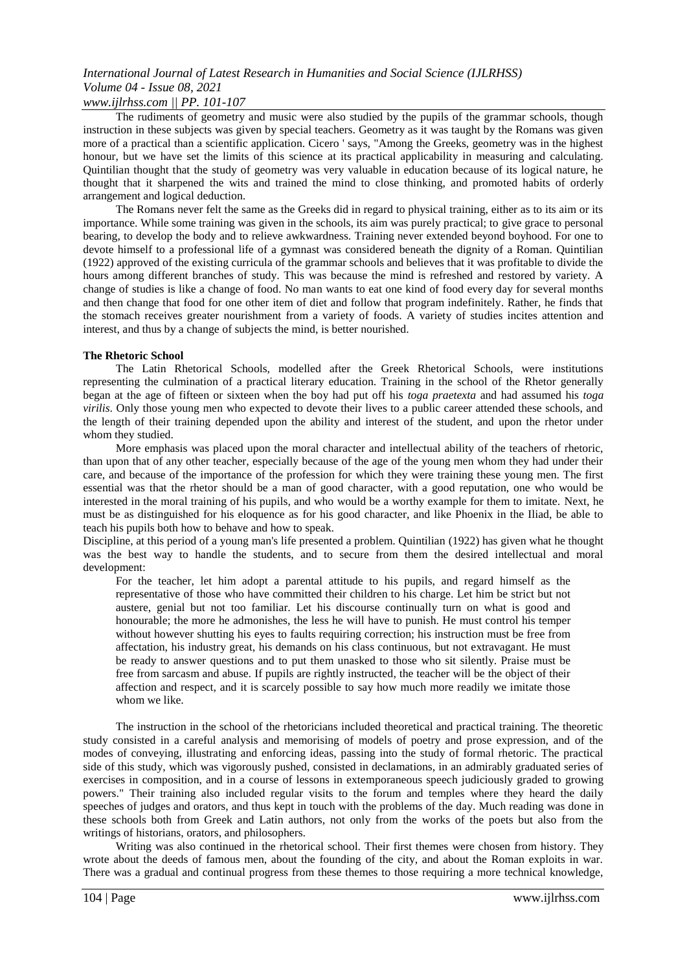## *www.ijlrhss.com || PP. 101-107*

The rudiments of geometry and music were also studied by the pupils of the grammar schools, though instruction in these subjects was given by special teachers. Geometry as it was taught by the Romans was given more of a practical than a scientific application. Cicero ' says, "Among the Greeks, geometry was in the highest honour, but we have set the limits of this science at its practical applicability in measuring and calculating. Quintilian thought that the study of geometry was very valuable in education because of its logical nature, he thought that it sharpened the wits and trained the mind to close thinking, and promoted habits of orderly arrangement and logical deduction.

The Romans never felt the same as the Greeks did in regard to physical training, either as to its aim or its importance. While some training was given in the schools, its aim was purely practical; to give grace to personal bearing, to develop the body and to relieve awkwardness. Training never extended beyond boyhood. For one to devote himself to a professional life of a gymnast was considered beneath the dignity of a Roman. Quintilian (1922) approved of the existing curricula of the grammar schools and believes that it was profitable to divide the hours among different branches of study. This was because the mind is refreshed and restored by variety. A change of studies is like a change of food. No man wants to eat one kind of food every day for several months and then change that food for one other item of diet and follow that program indefinitely. Rather, he finds that the stomach receives greater nourishment from a variety of foods. A variety of studies incites attention and interest, and thus by a change of subjects the mind, is better nourished.

### **The Rhetoric School**

The Latin Rhetorical Schools, modelled after the Greek Rhetorical Schools, were institutions representing the culmination of a practical literary education. Training in the school of the Rhetor generally began at the age of fifteen or sixteen when the boy had put off his *toga praetexta* and had assumed his *toga virilis*. Only those young men who expected to devote their lives to a public career attended these schools, and the length of their training depended upon the ability and interest of the student, and upon the rhetor under whom they studied.

More emphasis was placed upon the moral character and intellectual ability of the teachers of rhetoric, than upon that of any other teacher, especially because of the age of the young men whom they had under their care, and because of the importance of the profession for which they were training these young men. The first essential was that the rhetor should be a man of good character, with a good reputation, one who would be interested in the moral training of his pupils, and who would be a worthy example for them to imitate. Next, he must be as distinguished for his eloquence as for his good character, and like Phoenix in the Iliad, be able to teach his pupils both how to behave and how to speak.

Discipline, at this period of a young man's life presented a problem. Quintilian (1922) has given what he thought was the best way to handle the students, and to secure from them the desired intellectual and moral development:

For the teacher, let him adopt a parental attitude to his pupils, and regard himself as the representative of those who have committed their children to his charge. Let him be strict but not austere, genial but not too familiar. Let his discourse continually turn on what is good and honourable; the more he admonishes, the less he will have to punish. He must control his temper without however shutting his eyes to faults requiring correction; his instruction must be free from affectation, his industry great, his demands on his class continuous, but not extravagant. He must be ready to answer questions and to put them unasked to those who sit silently. Praise must be free from sarcasm and abuse. If pupils are rightly instructed, the teacher will be the object of their affection and respect, and it is scarcely possible to say how much more readily we imitate those whom we like.

The instruction in the school of the rhetoricians included theoretical and practical training. The theoretic study consisted in a careful analysis and memorising of models of poetry and prose expression, and of the modes of conveying, illustrating and enforcing ideas, passing into the study of formal rhetoric. The practical side of this study, which was vigorously pushed, consisted in declamations, in an admirably graduated series of exercises in composition, and in a course of lessons in extemporaneous speech judiciously graded to growing powers." Their training also included regular visits to the forum and temples where they heard the daily speeches of judges and orators, and thus kept in touch with the problems of the day. Much reading was done in these schools both from Greek and Latin authors, not only from the works of the poets but also from the writings of historians, orators, and philosophers.

Writing was also continued in the rhetorical school. Their first themes were chosen from history. They wrote about the deeds of famous men, about the founding of the city, and about the Roman exploits in war. There was a gradual and continual progress from these themes to those requiring a more technical knowledge,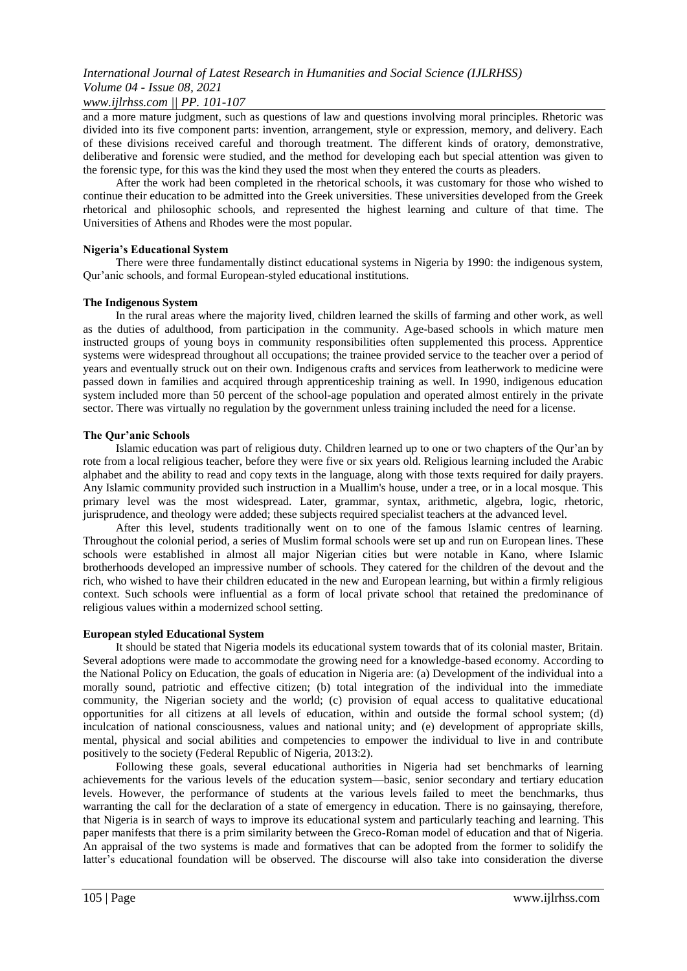## *www.ijlrhss.com || PP. 101-107*

and a more mature judgment, such as questions of law and questions involving moral principles. Rhetoric was divided into its five component parts: invention, arrangement, style or expression, memory, and delivery. Each of these divisions received careful and thorough treatment. The different kinds of oratory, demonstrative, deliberative and forensic were studied, and the method for developing each but special attention was given to the forensic type, for this was the kind they used the most when they entered the courts as pleaders.

After the work had been completed in the rhetorical schools, it was customary for those who wished to continue their education to be admitted into the Greek universities. These universities developed from the Greek rhetorical and philosophic schools, and represented the highest learning and culture of that time. The Universities of Athens and Rhodes were the most popular.

### **Nigeria's Educational System**

There were three fundamentally distinct educational systems in Nigeria by 1990: the indigenous system, Qur'anic schools, and formal European-styled educational institutions.

## **The Indigenous System**

In the rural areas where the majority lived, children learned the skills of farming and other work, as well as the duties of adulthood, from participation in the community. Age-based schools in which mature men instructed groups of young boys in community responsibilities often supplemented this process. Apprentice systems were widespread throughout all occupations; the trainee provided service to the teacher over a period of years and eventually struck out on their own. Indigenous crafts and services from leatherwork to medicine were passed down in families and acquired through apprenticeship training as well. In 1990, indigenous education system included more than 50 percent of the school-age population and operated almost entirely in the private sector. There was virtually no regulation by the government unless training included the need for a license.

## **The Qur'anic Schools**

Islamic education was part of religious duty. Children learned up to one or two chapters of the Qur'an by rote from a local religious teacher, before they were five or six years old. Religious learning included the Arabic alphabet and the ability to read and copy texts in the language, along with those texts required for daily prayers. Any Islamic community provided such instruction in a Muallim's house, under a tree, or in a local mosque. This primary level was the most widespread. Later, grammar, syntax, arithmetic, algebra, logic, rhetoric, jurisprudence, and theology were added; these subjects required specialist teachers at the advanced level.

After this level, students traditionally went on to one of the famous Islamic centres of learning. Throughout the colonial period, a series of Muslim formal schools were set up and run on European lines. These schools were established in almost all major Nigerian cities but were notable in Kano, where Islamic brotherhoods developed an impressive number of schools. They catered for the children of the devout and the rich, who wished to have their children educated in the new and European learning, but within a firmly religious context. Such schools were influential as a form of local private school that retained the predominance of religious values within a modernized school setting.

### **European styled Educational System**

It should be stated that Nigeria models its educational system towards that of its colonial master, Britain. Several adoptions were made to accommodate the growing need for a knowledge-based economy. According to the National Policy on Education, the goals of education in Nigeria are: (a) Development of the individual into a morally sound, patriotic and effective citizen; (b) total integration of the individual into the immediate community, the Nigerian society and the world; (c) provision of equal access to qualitative educational opportunities for all citizens at all levels of education, within and outside the formal school system; (d) inculcation of national consciousness, values and national unity; and (e) development of appropriate skills, mental, physical and social abilities and competencies to empower the individual to live in and contribute positively to the society (Federal Republic of Nigeria, 2013:2).

Following these goals, several educational authorities in Nigeria had set benchmarks of learning achievements for the various levels of the education system—basic, senior secondary and tertiary education levels. However, the performance of students at the various levels failed to meet the benchmarks, thus warranting the call for the declaration of a state of emergency in education. There is no gainsaying, therefore, that Nigeria is in search of ways to improve its educational system and particularly teaching and learning. This paper manifests that there is a prim similarity between the Greco-Roman model of education and that of Nigeria. An appraisal of the two systems is made and formatives that can be adopted from the former to solidify the latter's educational foundation will be observed. The discourse will also take into consideration the diverse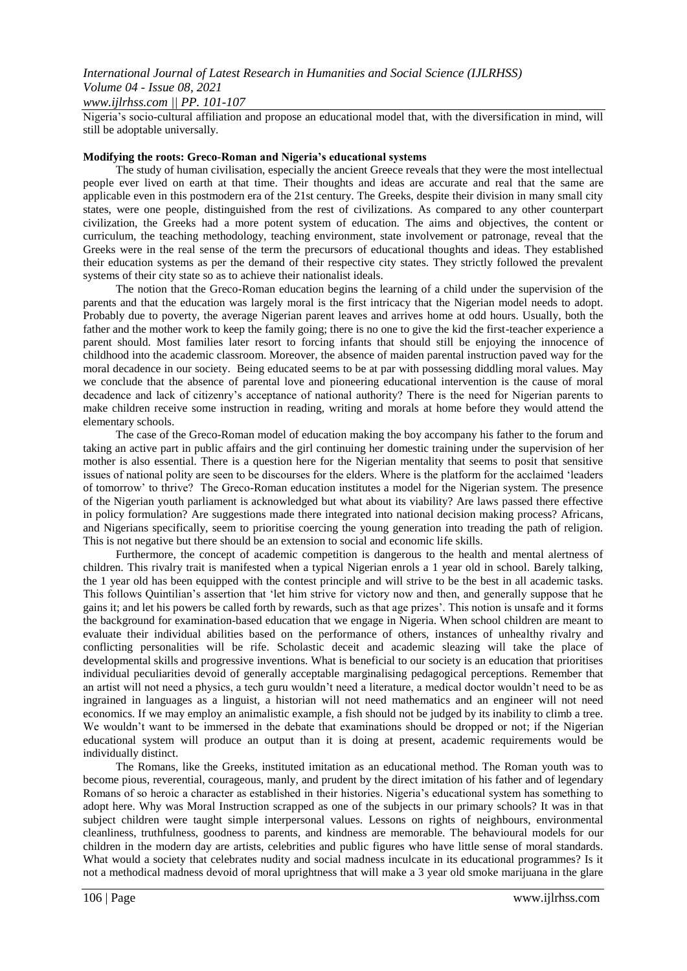## *International Journal of Latest Research in Humanities and Social Science (IJLRHSS) Volume 04 - Issue 08, 2021 www.ijlrhss.com || PP. 101-107*

Nigeria's socio-cultural affiliation and propose an educational model that, with the diversification in mind, will still be adoptable universally.

#### **Modifying the roots: Greco-Roman and Nigeria's educational systems**

The study of human civilisation, especially the ancient Greece reveals that they were the most intellectual people ever lived on earth at that time. Their thoughts and ideas are accurate and real that the same are applicable even in this postmodern era of the 21st century. The Greeks, despite their division in many small city states, were one people, distinguished from the rest of civilizations. As compared to any other counterpart civilization, the Greeks had a more potent system of education. The aims and objectives, the content or curriculum, the teaching methodology, teaching environment, state involvement or patronage, reveal that the Greeks were in the real sense of the term the precursors of educational thoughts and ideas. They established their education systems as per the demand of their respective city states. They strictly followed the prevalent systems of their city state so as to achieve their nationalist ideals.

The notion that the Greco-Roman education begins the learning of a child under the supervision of the parents and that the education was largely moral is the first intricacy that the Nigerian model needs to adopt. Probably due to poverty, the average Nigerian parent leaves and arrives home at odd hours. Usually, both the father and the mother work to keep the family going; there is no one to give the kid the first-teacher experience a parent should. Most families later resort to forcing infants that should still be enjoying the innocence of childhood into the academic classroom. Moreover, the absence of maiden parental instruction paved way for the moral decadence in our society. Being educated seems to be at par with possessing diddling moral values. May we conclude that the absence of parental love and pioneering educational intervention is the cause of moral decadence and lack of citizenry's acceptance of national authority? There is the need for Nigerian parents to make children receive some instruction in reading, writing and morals at home before they would attend the elementary schools.

The case of the Greco-Roman model of education making the boy accompany his father to the forum and taking an active part in public affairs and the girl continuing her domestic training under the supervision of her mother is also essential. There is a question here for the Nigerian mentality that seems to posit that sensitive issues of national polity are seen to be discourses for the elders. Where is the platform for the acclaimed 'leaders of tomorrow' to thrive? The Greco-Roman education institutes a model for the Nigerian system. The presence of the Nigerian youth parliament is acknowledged but what about its viability? Are laws passed there effective in policy formulation? Are suggestions made there integrated into national decision making process? Africans, and Nigerians specifically, seem to prioritise coercing the young generation into treading the path of religion. This is not negative but there should be an extension to social and economic life skills.

Furthermore, the concept of academic competition is dangerous to the health and mental alertness of children. This rivalry trait is manifested when a typical Nigerian enrols a 1 year old in school. Barely talking, the 1 year old has been equipped with the contest principle and will strive to be the best in all academic tasks. This follows Quintilian's assertion that 'let him strive for victory now and then, and generally suppose that he gains it; and let his powers be called forth by rewards, such as that age prizes'. This notion is unsafe and it forms the background for examination-based education that we engage in Nigeria. When school children are meant to evaluate their individual abilities based on the performance of others, instances of unhealthy rivalry and conflicting personalities will be rife. Scholastic deceit and academic sleazing will take the place of developmental skills and progressive inventions. What is beneficial to our society is an education that prioritises individual peculiarities devoid of generally acceptable marginalising pedagogical perceptions. Remember that an artist will not need a physics, a tech guru wouldn't need a literature, a medical doctor wouldn't need to be as ingrained in languages as a linguist, a historian will not need mathematics and an engineer will not need economics. If we may employ an animalistic example, a fish should not be judged by its inability to climb a tree. We wouldn't want to be immersed in the debate that examinations should be dropped or not; if the Nigerian educational system will produce an output than it is doing at present, academic requirements would be individually distinct.

The Romans, like the Greeks, instituted imitation as an educational method. The Roman youth was to become pious, reverential, courageous, manly, and prudent by the direct imitation of his father and of legendary Romans of so heroic a character as established in their histories. Nigeria's educational system has something to adopt here. Why was Moral Instruction scrapped as one of the subjects in our primary schools? It was in that subject children were taught simple interpersonal values. Lessons on rights of neighbours, environmental cleanliness, truthfulness, goodness to parents, and kindness are memorable. The behavioural models for our children in the modern day are artists, celebrities and public figures who have little sense of moral standards. What would a society that celebrates nudity and social madness inculcate in its educational programmes? Is it not a methodical madness devoid of moral uprightness that will make a 3 year old smoke marijuana in the glare